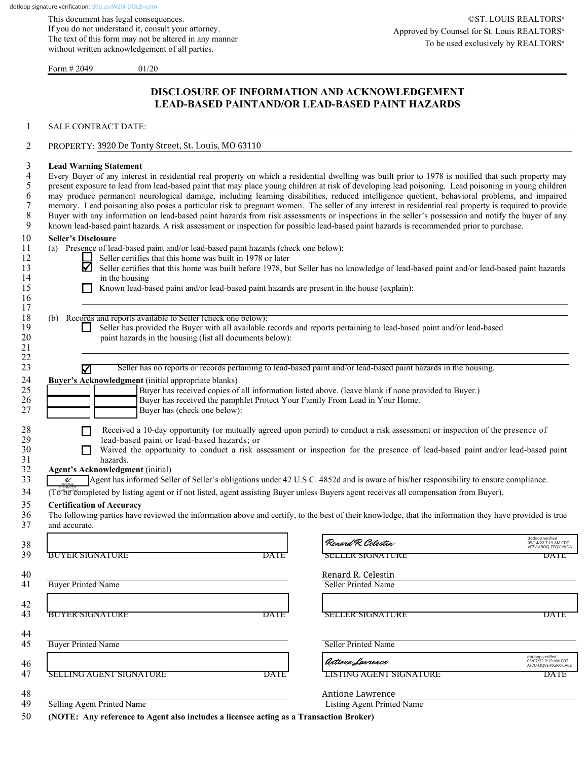This document has legal consequences. If you do not understand it, consult your attorney. The text of this form may not be altered in any manner without written acknowledgement of all parties.

Form  $\# 2049$  01/20

### **DISCLOSURE OF INFORMATION AND ACKNOWLEDGEMENT LEAD-BASED PAINTAND/OR LEAD-BASED PAINT HAZARDS**

1 SALE CONTRACT DATE: 2 PROPERTY: 3920 De Tonty Street, St. Louis, MO 63110 3 **Lead Warning Statement** 4 Every Buyer of any interest in residential real property on which a residential dwelling was built prior to 1978 is notified that such property may present exposure to lead from lead-based paint that may place young chil 5 present exposure to lead from lead-based paint that may place young children at risk of developing lead poisoning. Lead poisoning in young children may produce permanent neurological damage, including learning disabiliti 6 may produce permanent neurological damage, including learning disabilities, reduced intelligence quotient, behavioral problems, and impaired memory. Lead poisoning also poses a particular risk to pregnant women. The sell 7 memory. Lead poisoning also poses a particular risk to pregnant women. The seller of any interest in residential real property is required to provide<br>8 Buyer with any information on lead-based paint hazards from risk ass 8 Buyer with any information on lead-based paint hazards from risk assessments or inspections in the seller's possession and notify the buyer of any 9 known lead-based paint hazards. A risk assessment or inspection for possible lead-based paint hazards is recommended prior to purchase. 10 **Seller's Disclosure** 11 (a) Presence of lead-based paint and/or lead-based paint hazards (check one below):<br>12 Seller certifies that this home was built in 1978 or later 12 Seller certifies that this home was built in 1978 or later 13 Seller certifies that this home was built before 1978, but Seller certifies that this home was built before 1978, but Seller has no knowledge of lead-based paint and/or lead-based paint hazards 14 in the housing<br>15 15 Known lead-ba **15 Known lead-based paint and/or lead-based paint hazards are present in the house (explain):**  $16$  $17 \hskip .1in$ 18 (b) Records and reports available to Seller (check one below):<br>19 **19** Seller has provided the Buyer with all available 1 19 Seller has provided the Buyer with all available records and reports pertaining to lead-based paint and/or lead-based paint hazards in the housing (list all documents below): 20 paint hazards in the housing (list all documents below):<br>21  $21$ 22  $\Box$ 23 Seller has no reports or records pertaining to lead-based paint and/or lead-based paint hazards in the housing. 24 **Buyer's Acknowledgment** (initial appropriate blanks)<br>25 **Buyer** has received copies of 25 **and Buyer has received copies of all information listed above.** (leave blank if none provided to Buyer.)<br>26 **Buyer has received the pamphlet Protect Your Family From Lead in Your Home.** 26 Buyer has received the pamphlet Protect Your Family From Lead in Your Home.<br>27 Buyer has (check one below): Buyer has (check one below): 28 Received a 10-day opportunity (or mutually agreed upon period) to conduct a risk assessment or inspection of the presence of lead-based paint or lead-based hazards; or 29 lead-based paint or lead-based hazards; or  $\Box$  30  $\Box$  Waived the opportunity to conduct a risk as 30 Waived the opportunity to conduct a risk assessment or inspection for the presence of lead-based paint and/or lead-based paint hazards. 31 hazards.<br>32 **Agent's Acknowledgm Agent's Acknowledgment** (initial)<br>33 **Agent** has informed Sell Agent has informed Seller of Seller's obligations under 42 U.S.C. 4852d and is aware of his/her responsibility to ensure compliance. 34 (To be completed by listing agent or if not listed, agent assisting Buyer unless Buyers agent receives all compensation from Buyer). 35 **Certification of Accuracy** 36 The following parties have reviewed the information above and certify, to the best of their knowledge, that the information they have provided is true and accurate.  $38$   $\blacksquare$ 39 BUYER SIGNATURE DATE DATE SELLER SIGNATURE DATE 40 \_\_\_\_\_\_\_\_\_\_\_\_\_\_\_\_\_\_\_\_\_\_\_\_\_\_\_\_\_\_\_\_\_\_\_\_\_\_\_\_\_\_\_\_\_\_\_\_\_\_\_\_\_\_\_ \_\_\_\_\_\_\_\_\_\_\_\_\_\_\_\_\_\_\_\_\_\_\_\_\_\_\_\_\_\_\_\_\_\_\_\_\_\_\_\_\_\_\_\_\_\_\_\_\_\_\_\_\_\_\_\_ Renard R. Celestin 41 Buyer Printed Name Seller Printed Name  $42$  and  $43$  and  $44$  and  $45$  and  $47$  and  $48$  and  $49$  and  $49$  and  $49$  and  $49$  and  $49$  and  $49$  and  $49$  and  $49$  and  $49$  and  $49$  and  $49$  and  $49$  and  $49$  and  $49$  and  $49$  and  $49$  and  $49$  and  $49$  and  $49$  43 BUYER SIGNATURE DATE DATE SELLER SIGNATURE DATE  $44 \pm 44$ 45 Buyer Printed Name Seller Printed Name Seller Printed Name  $46$  and the set of the set of the set of the set of the set of the set of the set of the set of the set of the set of the set of the set of the set of the set of the set of the set of the set of the set of the set of the 47 SELLING AGENT SIGNATURE DATE LISTING AGENT SIGNATURE DATE  $48$  Antione Lawrence 49 Selling Agent Printed Name Listing Agent Printed Name  $\overline{\mathscr{U}}$ 05/07/22 Renard R. Celestin 05/14/22 7:19 AM CDT VFZV-ABOQ-ZEQV-YKDA Antione Lawrence 05/07/22 9:19 AM CDT AF7U-OQVE-NGRK-CA6Z

50 **(NOTE: Any reference to Agent also includes a licensee acting as a Transaction Broker)**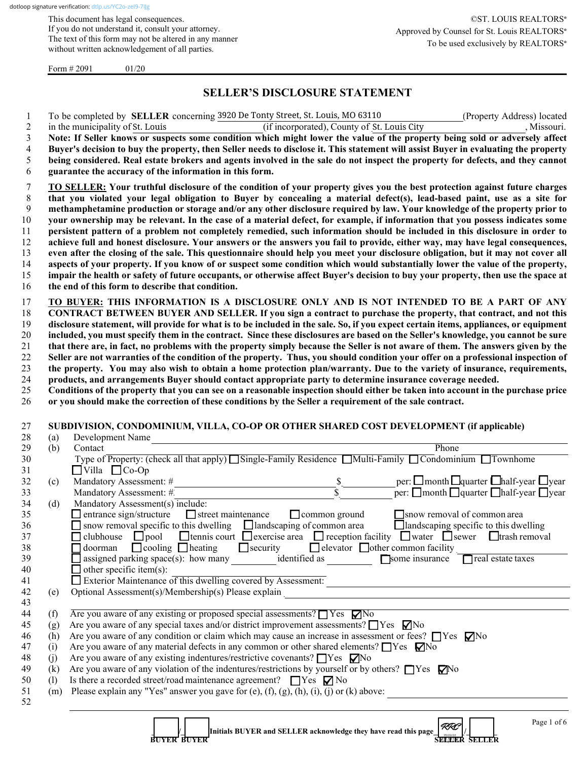This document has legal consequences. If you do not understand it, consult your attorney. The text of this form may not be altered in any manner without written acknowledgement of all parties.

Form  $\# 2091$  01/20

## **SELLER'S DISCLOSURE STATEMENT**

|     | To be completed by <b>SELLER</b> concerning 3920 De Tonty Street, St. Louis, MO 63110<br>(Property Address) located                                                                                  |
|-----|------------------------------------------------------------------------------------------------------------------------------------------------------------------------------------------------------|
|     | (if incorporated), County of St. Louis City<br>, Missouri.<br>in the municipality of St. Louis                                                                                                       |
|     | Note: If Seller knows or suspects some condition which might lower the value of the property being sold or adversely affect                                                                          |
|     | Buyer's decision to buy the property, then Seller needs to disclose it. This statement will assist Buyer in evaluating the property                                                                  |
|     | being considered. Real estate brokers and agents involved in the sale do not inspect the property for defects, and they cannot                                                                       |
|     | guarantee the accuracy of the information in this form.                                                                                                                                              |
|     | TO SELLER: Your truthful disclosure of the condition of your property gives you the best protection against future charges                                                                           |
|     | that you violated your legal obligation to Buyer by concealing a material defect(s), lead-based paint, use as a site for                                                                             |
|     | methamphetamine production or storage and/or any other disclosure required by law. Your knowledge of the property prior to                                                                           |
|     | your ownership may be relevant. In the case of a material defect, for example, if information that you possess indicates some                                                                        |
|     | persistent pattern of a problem not completely remedied, such information should be included in this disclosure in order to                                                                          |
|     | achieve full and honest disclosure. Your answers or the answers you fail to provide, either way, may have legal consequences,                                                                        |
|     | even after the closing of the sale. This questionnaire should help you meet your disclosure obligation, but it may not cover all                                                                     |
|     | aspects of your property. If you know of or suspect some condition which would substantially lower the value of the property,                                                                        |
|     | impair the health or safety of future occupants, or otherwise affect Buyer's decision to buy your property, then use the space at                                                                    |
|     | the end of this form to describe that condition.                                                                                                                                                     |
|     | TO BUYER: THIS INFORMATION IS A DISCLOSURE ONLY AND IS NOT INTENDED TO BE A PART OF ANY                                                                                                              |
|     | CONTRACT BETWEEN BUYER AND SELLER. If you sign a contract to purchase the property, that contract, and not this                                                                                      |
|     | disclosure statement, will provide for what is to be included in the sale. So, if you expect certain items, appliances, or equipment                                                                 |
|     | included, you must specify them in the contract. Since these disclosures are based on the Seller's knowledge, you cannot be sure                                                                     |
|     | that there are, in fact, no problems with the property simply because the Seller is not aware of them. The answers given by the                                                                      |
|     | Seller are not warranties of the condition of the property. Thus, you should condition your offer on a professional inspection of                                                                    |
|     | the property. You may also wish to obtain a home protection plan/warranty. Due to the variety of insurance, requirements,                                                                            |
|     | products, and arrangements Buyer should contact appropriate party to determine insurance coverage needed.                                                                                            |
|     | Conditions of the property that you can see on a reasonable inspection should either be taken into account in the purchase price                                                                     |
|     | or you should make the correction of these conditions by the Seller a requirement of the sale contract.                                                                                              |
|     |                                                                                                                                                                                                      |
|     | SUBDIVISION, CONDOMINIUM, VILLA, CO-OP OR OTHER SHARED COST DEVELOPMENT (if applicable)                                                                                                              |
| (a) | Development Name                                                                                                                                                                                     |
| (b) | Contact<br>Phone                                                                                                                                                                                     |
|     | Type of Property: (check all that apply) Single-Family Residence Multi-Family Condominium Townhome                                                                                                   |
|     | $\Box$ Villa $\Box$ Co-Op                                                                                                                                                                            |
| (c) | Mandatory Assessment: #                                                                                                                                                                              |
|     | per: $\square$ month $\square$ quarter $\square$ half-year $\square$ year<br>per: $\square$ month $\square$ quarter $\square$ half-year $\square$ year<br>$\frac{\$}{\$}$<br>Mandatory Assessment: # |
| (d) | Mandatory Assessment(s) include:                                                                                                                                                                     |
|     | $\Box$ entrance sign/structure<br>snow removal of common area<br>$\Box$ street maintenance<br>$\Box$ common ground                                                                                   |
|     | $\Box$ snow removal specific to this dwelling $\Box$ landscaping of common area<br>$\Box$ landscaping specific to this dwelling                                                                      |
|     | $\Box$ tennis court $\Box$ exercise area $\Box$ reception facility $\Box$ water $\Box$ sewer $\Box$ trash removal<br>$\Box$ clubhouse $\Box$ pool                                                    |
|     | $\Box$ doorman $\Box$ cooling $\Box$ heating<br>$\Box$ security<br>□ elevator □ other common facility                                                                                                |
|     | $\Box$ assigned parking space(s): how many identified as<br>Some insurance<br>$\Box$ real estate taxes                                                                                               |
|     | $\Box$ other specific item(s):                                                                                                                                                                       |
|     | Exterior Maintenance of this dwelling covered by Assessment:                                                                                                                                         |
| (e) | Optional Assessment(s)/Membership(s) Please explain<br><u> 1989 - Johann Barn, mars ar breithinn ar chuid ann an t-Alban ann an t-Alban ann an t-Alban ann an t-Alban a</u>                          |
|     |                                                                                                                                                                                                      |
| (f) | Are you aware of any existing or proposed special assessments? $\Box$ Yes $\nabla$ No                                                                                                                |
| (g) | Are you aware of any special taxes and/or district improvement assessments? $\Box$ Yes $\nabla$ No                                                                                                   |
| (h) | Are you aware of any condition or claim which may cause an increase in assessment or fees? $\Box$ Yes $\nabla$ No                                                                                    |
| (i) | Are you aware of any material defects in any common or other shared elements? $\Box$ Yes $\Box$ No                                                                                                   |
| (j) | Are you aware of any existing indentures/restrictive covenants? □ Yes □ No                                                                                                                           |
| (k) | Are you aware of any violation of the indentures/restrictions by yourself or by others? $\Box$ Yes $\Box$ Yo                                                                                         |
| (1) | Is there a recorded street/road maintenance agreement? $\Box$ Yes $\nabla$ No                                                                                                                        |
| (m) | Please explain any "Yes" answer you gave for (e), $(f)$ , $(g)$ , $(h)$ , $(i)$ , $(j)$ or $(k)$ above:                                                                                              |
|     |                                                                                                                                                                                                      |
|     |                                                                                                                                                                                                      |
|     | Page 1 of 6<br>RRC<br>Initials BUYER and SELLER acknowledge they have read this page                                                                                                                 |
|     |                                                                                                                                                                                                      |

 **BUYER BUYER SELLER SELLER**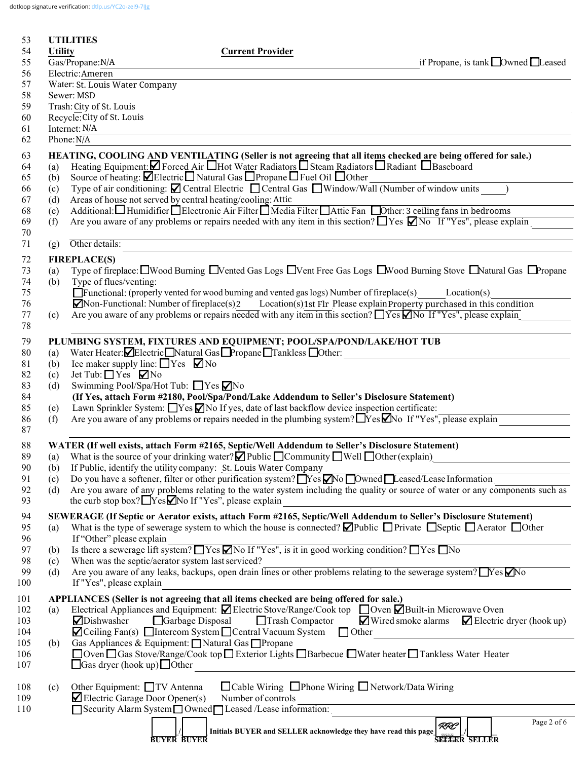dotloop signature verification: dtlp.us/YC2o-zel9-7IJg

| 53         |                | <b>UTILITIES</b>                                     |                                                                                                                                           |                                                                                                                                           |                                                                                                                                                                                                        |
|------------|----------------|------------------------------------------------------|-------------------------------------------------------------------------------------------------------------------------------------------|-------------------------------------------------------------------------------------------------------------------------------------------|--------------------------------------------------------------------------------------------------------------------------------------------------------------------------------------------------------|
| 54         | <b>Utility</b> |                                                      | <b>Current Provider</b>                                                                                                                   |                                                                                                                                           |                                                                                                                                                                                                        |
| 55<br>56   |                | Gas/Propane:N/A<br>Electric:Ameren                   |                                                                                                                                           |                                                                                                                                           | if Propane, is tank □ Owned □ Leased                                                                                                                                                                   |
| 57         |                | Water: St. Louis Water Company                       |                                                                                                                                           |                                                                                                                                           |                                                                                                                                                                                                        |
| 58         |                | Sewer: MSD                                           |                                                                                                                                           |                                                                                                                                           |                                                                                                                                                                                                        |
| 59         |                | Trash: City of St. Louis                             |                                                                                                                                           |                                                                                                                                           |                                                                                                                                                                                                        |
| 60         |                | Recycle: City of St. Louis                           |                                                                                                                                           |                                                                                                                                           |                                                                                                                                                                                                        |
| 61         |                | Internet: N/A                                        |                                                                                                                                           |                                                                                                                                           |                                                                                                                                                                                                        |
| 62         |                | Phone: N/A                                           |                                                                                                                                           |                                                                                                                                           |                                                                                                                                                                                                        |
| 63         |                |                                                      |                                                                                                                                           |                                                                                                                                           | HEATING, COOLING AND VENTILATING (Seller is not agreeing that all items checked are being offered for sale.)                                                                                           |
| 64         | (a)            |                                                      |                                                                                                                                           | Heating Equipment: $\Box$ Forced Air $\Box$ Hot Water Radiators $\Box$ Steam Radiators $\Box$ Radiant $\Box$ Baseboard                    |                                                                                                                                                                                                        |
| 65<br>66   | (b)            |                                                      | Source of heating: $\blacksquare$ Electric $\blacksquare$ Natural Gas $\blacksquare$ Propane $\blacksquare$ Fuel Oil $\blacksquare$ Other | Type of air conditioning: $\Box$ Central Electric $\Box$ Central Gas $\Box$ Window/Wall (Number of window units                           |                                                                                                                                                                                                        |
| 67         | (c)<br>(d)     |                                                      | Areas of house not served by central heating/cooling: Attic                                                                               |                                                                                                                                           |                                                                                                                                                                                                        |
| 68         | (e)            |                                                      |                                                                                                                                           | Additional: Humidifier <i>Helectronic Air Filter Media Filter Hattic Fan</i> Dother: 3 ceiling fans in bedrooms                           |                                                                                                                                                                                                        |
| 69         | (f)            |                                                      |                                                                                                                                           |                                                                                                                                           | Are you aware of any problems or repairs needed with any item in this section? $\Box$ Yes $\Box$ No If "Yes", please explain                                                                           |
| 70         |                |                                                      |                                                                                                                                           |                                                                                                                                           |                                                                                                                                                                                                        |
| 71         | (g)            | Other details:                                       |                                                                                                                                           |                                                                                                                                           |                                                                                                                                                                                                        |
| 72         |                | <b>FIREPLACE(S)</b>                                  |                                                                                                                                           |                                                                                                                                           |                                                                                                                                                                                                        |
| 73         | (a)            |                                                      |                                                                                                                                           |                                                                                                                                           | Type of fireplace: UWood Burning UVented Gas Logs UVent Free Gas Logs UWood Burning Stove UNatural Gas UPropane                                                                                        |
| 74         | (b)            | Type of flues/venting:                               |                                                                                                                                           |                                                                                                                                           |                                                                                                                                                                                                        |
| 75         |                |                                                      |                                                                                                                                           | □ Functional: (properly vented for wood burning and vented gas logs) Number of fireplace(s)                                               | Location(s)                                                                                                                                                                                            |
| 76         |                |                                                      | $\blacksquare$ Non-Functional: Number of fireplace(s)2                                                                                    |                                                                                                                                           | Location(s)1st Flr Please explain Property purchased in this condition<br>Are you aware of any problems or repairs needed with any item in this section? $\Box$ Yes $\Box$ No If "Yes", please explain |
| 77<br>78   | (c)            |                                                      |                                                                                                                                           |                                                                                                                                           |                                                                                                                                                                                                        |
|            |                |                                                      |                                                                                                                                           |                                                                                                                                           |                                                                                                                                                                                                        |
| 79<br>80   | (a)            |                                                      | Water Heater: Electric Natural Gas Propane Tankless Other:                                                                                | PLUMBING SYSTEM, FIXTURES AND EQUIPMENT; POOL/SPA/POND/LAKE/HOT TUB                                                                       |                                                                                                                                                                                                        |
| 81         | (b)            | Ice maker supply line: $\Box$ Yes $\nabla$ No        |                                                                                                                                           |                                                                                                                                           |                                                                                                                                                                                                        |
| 82         | (c)            | Jet Tub: $\Box$ Yes $\Box$ No                        |                                                                                                                                           |                                                                                                                                           |                                                                                                                                                                                                        |
| 83         | (d)            |                                                      | Swimming Pool/Spa/Hot Tub: ■ Yes ■ No                                                                                                     |                                                                                                                                           |                                                                                                                                                                                                        |
| 84         |                |                                                      |                                                                                                                                           | (If Yes, attach Form #2180, Pool/Spa/Pond/Lake Addendum to Seller's Disclosure Statement)                                                 |                                                                                                                                                                                                        |
| 85         | (e)            |                                                      |                                                                                                                                           | Lawn Sprinkler System: Nes No If yes, date of last backflow device inspection certificate:                                                |                                                                                                                                                                                                        |
| 86         | (f)            |                                                      |                                                                                                                                           | Are you aware of any problems or repairs needed in the plumbing system? No If "Yes", please explain                                       |                                                                                                                                                                                                        |
| 87         |                |                                                      |                                                                                                                                           |                                                                                                                                           |                                                                                                                                                                                                        |
| 88         |                |                                                      |                                                                                                                                           | WATER (If well exists, attach Form #2165, Septic/Well Addendum to Seller's Disclosure Statement)                                          |                                                                                                                                                                                                        |
| 89         |                |                                                      | (b) If Public, identify the utility company: St. Louis Water Company                                                                      | (a) What is the source of your drinking water? $\Box$ Public $\Box$ Community $\Box$ Well $\Box$ Other (explain)                          |                                                                                                                                                                                                        |
| 90<br>91   | (c)            |                                                      |                                                                                                                                           | Do you have a softener, filter or other purification system? $Yes$ No Downed Leased/Lease Information                                     |                                                                                                                                                                                                        |
| 92         | (d)            |                                                      |                                                                                                                                           |                                                                                                                                           | Are you aware of any problems relating to the water system including the quality or source of water or any components such as                                                                          |
| 93         |                |                                                      | the curb stop box? $\Box$ Yes $\Box$ No If "Yes", please explain                                                                          |                                                                                                                                           |                                                                                                                                                                                                        |
| 94         |                |                                                      |                                                                                                                                           |                                                                                                                                           | SEWERAGE (If Septic or Aerator exists, attach Form #2165, Septic/Well Addendum to Seller's Disclosure Statement)                                                                                       |
| 95         | (a)            |                                                      |                                                                                                                                           |                                                                                                                                           | What is the type of sewerage system to which the house is connected? $\Box$ Public $\Box$ Private $\Box$ Septic $\Box$ Aerator $\Box$ Other                                                            |
| 96         |                | If "Other" please explain                            |                                                                                                                                           |                                                                                                                                           |                                                                                                                                                                                                        |
| 97         | (b)            |                                                      |                                                                                                                                           | Is there a sewerage lift system? These Mo If "Yes", is it in good working condition? These No                                             |                                                                                                                                                                                                        |
| 98         | (c)            |                                                      | When was the septic/aerator system last serviced?                                                                                         |                                                                                                                                           |                                                                                                                                                                                                        |
| 99         | (d)            |                                                      |                                                                                                                                           |                                                                                                                                           | Are you aware of any leaks, backups, open drain lines or other problems relating to the sewerage system? TYes Mo                                                                                       |
| 100        |                | If "Yes", please explain                             |                                                                                                                                           |                                                                                                                                           |                                                                                                                                                                                                        |
| 101        |                |                                                      |                                                                                                                                           | APPLIANCES (Seller is not agreeing that all items checked are being offered for sale.)                                                    |                                                                                                                                                                                                        |
| 102        | (a)            |                                                      |                                                                                                                                           | Electrical Appliances and Equipment: $\Box$ Electric Stove/Range/Cook top $\Box$ Oven $\Box$ Built-in Microwave Oven                      |                                                                                                                                                                                                        |
| 103<br>104 |                | Dishwasher                                           | Garbage Disposal                                                                                                                          | Trash Compactor<br>$\blacksquare$ Ceiling Fan(s) $\blacksquare$ Intercom System $\blacksquare$ Central Vacuum System $\blacksquare$ Other | $\blacksquare$ Wired smoke alarms $\blacksquare$ Electric dryer (hook up)                                                                                                                              |
| 105        | (b)            |                                                      | Gas Appliances & Equipment: Natural Gas Propane                                                                                           |                                                                                                                                           | <u> 1989 - Johann Stein, mars an de Francisco (f. 19</u>                                                                                                                                               |
| 106        |                |                                                      |                                                                                                                                           | □ Oven □ Gas Stove/Range/Cook top □ Exterior Lights □ Barbecue □ Water heater □ Tankless Water Heater                                     |                                                                                                                                                                                                        |
| 107        |                | $\Box$ Gas dryer (hook up) $\Box$ Other              |                                                                                                                                           |                                                                                                                                           |                                                                                                                                                                                                        |
|            |                |                                                      |                                                                                                                                           |                                                                                                                                           |                                                                                                                                                                                                        |
| 108        | (c)            | Other Equipment: □TV Antenna                         |                                                                                                                                           | □ Cable Wiring □ Phone Wiring □ Network/Data Wiring                                                                                       |                                                                                                                                                                                                        |
| 109        |                | $\blacktriangleright$ Electric Garage Door Opener(s) | Number of controls                                                                                                                        |                                                                                                                                           |                                                                                                                                                                                                        |
| 110        |                |                                                      | Security Alarm System Owned Leased /Lease information:                                                                                    |                                                                                                                                           |                                                                                                                                                                                                        |
|            |                |                                                      |                                                                                                                                           | Initials BUYER and SELLER acknowledge they have read this page                                                                            | Page 2 of 6<br>RRC                                                                                                                                                                                     |
|            |                |                                                      | <b>BUYER BUYER</b>                                                                                                                        |                                                                                                                                           | <b>SEETER SELLER</b>                                                                                                                                                                                   |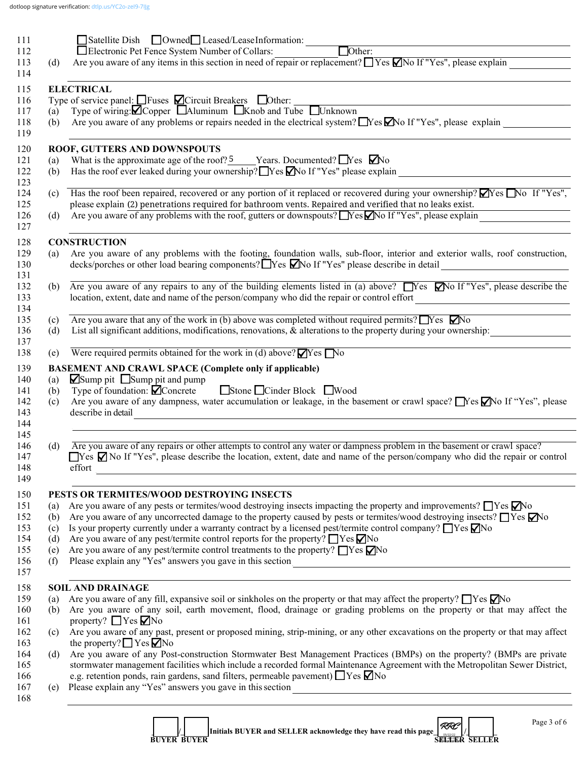| 111        |            | Satellite Dish Owned Leased/LeaseInformation:                                                                                                                                                                                |
|------------|------------|------------------------------------------------------------------------------------------------------------------------------------------------------------------------------------------------------------------------------|
| 112        |            | Other:<br>Electronic Pet Fence System Number of Collars:<br>Are you aware of any items in this section in need of repair or replacement? $\Box$ Yes $\Box$ No If "Yes", please explain $\Box$                                |
| 113<br>114 | (d)        |                                                                                                                                                                                                                              |
|            |            |                                                                                                                                                                                                                              |
| 115        |            | <b>ELECTRICAL</b>                                                                                                                                                                                                            |
| 116<br>117 | (a)        | Type of service panel: $\Box$ Fuses $\Box$ Circuit Breakers $\Box$ Other:<br>Type of wiring: $\blacksquare$ Copper $\blacksquare$ Aluminum $\blacksquare$ Knob and Tube $\blacksquare$ Unknown                               |
| 118        | (b)        | Are you aware of any problems or repairs needed in the electrical system? Nessan IV es'', please explain                                                                                                                     |
| 119        |            |                                                                                                                                                                                                                              |
| 120        |            | ROOF, GUTTERS AND DOWNSPOUTS                                                                                                                                                                                                 |
| 121        | (a)        | What is the approximate age of the roof? $\frac{5}{2}$ Years. Documented? $\Box$ Yes $\Box$ No                                                                                                                               |
| 122        | (b)        | Has the roof ever leaked during your ownership? $\Box$ Yes $\Box$ No If "Yes" please explain                                                                                                                                 |
| 123        |            |                                                                                                                                                                                                                              |
| 124        |            | (c) Has the roof been repaired, recovered or any portion of it replaced or recovered during your ownership? $\blacksquare$ Yes $\blacksquare$ No If "Yes",                                                                   |
| 125<br>126 | (d)        | please explain (2) penetrations required for bathroom vents. Repaired and verified that no leaks exist.<br>Are you aware of any problems with the roof, gutters or downspouts? Nes No If "Yes", please explain               |
| 127        |            |                                                                                                                                                                                                                              |
| 128        |            | <b>CONSTRUCTION</b>                                                                                                                                                                                                          |
| 129        | (a)        | Are you aware of any problems with the footing, foundation walls, sub-floor, interior and exterior walls, roof construction,                                                                                                 |
| 130<br>131 |            | decks/porches or other load bearing components? TYes MNo If "Yes" please describe in detail __________________                                                                                                               |
| 132        |            | (b) Are you aware of any repairs to any of the building elements listed in (a) above? $\Box$ Yes $\Box$ No If "Yes", please describe the                                                                                     |
| 133        |            | location, extent, date and name of the person/company who did the repair or control effort                                                                                                                                   |
| 134        |            |                                                                                                                                                                                                                              |
| 135        | (c)        | Are you aware that any of the work in (b) above was completed without required permits? $\Box$ Yes $\Box$ No                                                                                                                 |
| 136        | (d)        | List all significant additions, modifications, renovations, & alterations to the property during your ownership:                                                                                                             |
| 137<br>138 | (e)        | Were required permits obtained for the work in (d) above? $\Box$ Yes $\Box$ No                                                                                                                                               |
| 139        |            | <b>BASEMENT AND CRAWL SPACE (Complete only if applicable)</b>                                                                                                                                                                |
| 140        | (a)        | $\blacksquare$ Sump pit $\blacksquare$ Sump pit and pump                                                                                                                                                                     |
| 141        | (b)        | Type of foundation: $\dot{Q}$ Concrete Stone □ Cinder Block ■ Wood                                                                                                                                                           |
| 142        | (c)        | Are you aware of any dampness, water accumulation or leakage, in the basement or crawl space? No If "Yes", please                                                                                                            |
| 143        |            | describe in detail<br><u> 1980 - Johann Stoff, fransk politik (f. 1980)</u>                                                                                                                                                  |
| 144<br>145 |            |                                                                                                                                                                                                                              |
| 146        | (d)        | Are you aware of any repairs or other attempts to control any water or dampness problem in the basement or crawl space?                                                                                                      |
| 147        |            | □Yes Ø No If "Yes", please describe the location, extent, date and name of the person/company who did the repair or control                                                                                                  |
| 148        |            | effort<br><u> 1989 - Johann Stein, marwolaethau a bhann an t-Amhainn an t-Amhainn an t-Amhainn an t-Amhainn an t-Amhainn a</u>                                                                                               |
| 149        |            |                                                                                                                                                                                                                              |
| 150        |            | PESTS OR TERMITES/WOOD DESTROYING INSECTS                                                                                                                                                                                    |
| 151        | (a)        | Are you aware of any pests or termites/wood destroying insects impacting the property and improvements? TYes No                                                                                                              |
| 152        | (b)        | Are you aware of any uncorrected damage to the property caused by pests or termites/wood destroying insects? $\Box$ Yes $\Box$ No                                                                                            |
| 153        | (c)        | Is your property currently under a warranty contract by a licensed pest/termite control company? $\Box$ Yes $\Box$ No<br>Are you aware of any pest/termite control reports for the property? $\Box$ Yes $\nabla$ No          |
| 154<br>155 | (d)<br>(e) | Are you aware of any pest/termite control treatments to the property? $\Box$ Yes $\nabla$ No                                                                                                                                 |
| 156        | (f)        |                                                                                                                                                                                                                              |
| 157        |            |                                                                                                                                                                                                                              |
| 158        |            | <b>SOIL AND DRAINAGE</b>                                                                                                                                                                                                     |
| 159        | (a)        | Are you aware of any fill, expansive soil or sinkholes on the property or that may affect the property? $\Box$ Yes $\Box$ No                                                                                                 |
| 160        | (b)        | Are you aware of any soil, earth movement, flood, drainage or grading problems on the property or that may affect the                                                                                                        |
| 161        |            | property? $\Box$ Yes $\nabla$ No                                                                                                                                                                                             |
| 162        | (c)        | Are you aware of any past, present or proposed mining, strip-mining, or any other excavations on the property or that may affect                                                                                             |
| 163        |            | the property? $\Box$ Yes $\Box$ No                                                                                                                                                                                           |
| 164        | (d)        | Are you aware of any Post-construction Stormwater Best Management Practices (BMPs) on the property? (BMPs are private                                                                                                        |
| 165<br>166 |            | stormwater management facilities which include a recorded formal Maintenance Agreement with the Metropolitan Sewer District,<br>e.g. retention ponds, rain gardens, sand filters, permeable pavement) $\Box$ Yes $\nabla$ No |
| 167        | (e)        | Please explain any "Yes" answers you gave in this section                                                                                                                                                                    |
| 168        |            |                                                                                                                                                                                                                              |
|            |            |                                                                                                                                                                                                                              |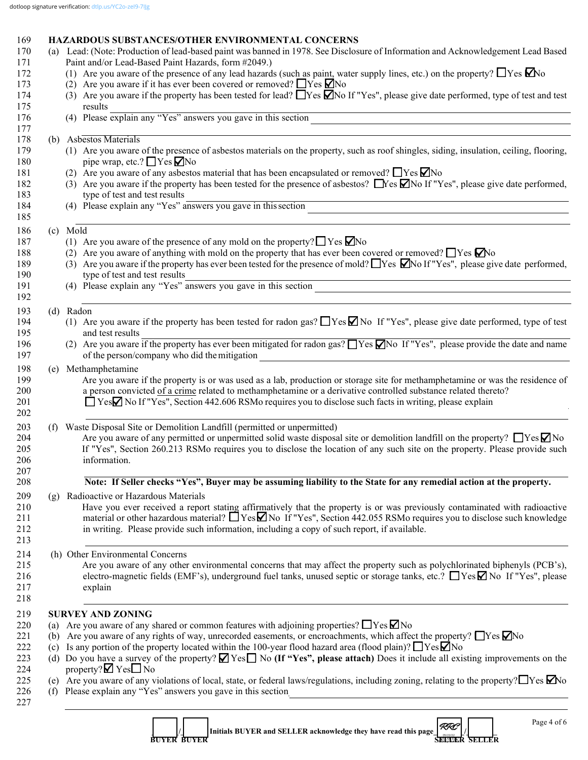| 169 | <b>HAZARDOUS SUBSTANCES/OTHER ENVIRONMENTAL CONCERNS</b> |  |
|-----|----------------------------------------------------------|--|
|-----|----------------------------------------------------------|--|

|     | (a) Lead: (Note: Production of lead-based paint was banned in 1978. See Disclosure of Information and Acknowledgement Lead Based                                                                                                                                |
|-----|-----------------------------------------------------------------------------------------------------------------------------------------------------------------------------------------------------------------------------------------------------------------|
|     | Paint and/or Lead-Based Paint Hazards, form #2049.)                                                                                                                                                                                                             |
|     | (1) Are you aware of the presence of any lead hazards (such as paint, water supply lines, etc.) on the property? $\Box$ Yes $\Box$ No<br>(2) Are you aware if it has ever been covered or removed? $\Box$ Yes $\Box$ No                                         |
|     |                                                                                                                                                                                                                                                                 |
|     | (3) Are you aware if the property has been tested for lead? $\Box$ Yes $\Box$ No If "Yes", please give date performed, type of test and test<br>results                                                                                                         |
|     | results<br>(4) Please explain any "Yes" answers you gave in this section                                                                                                                                                                                        |
|     | (b) Asbestos Materials                                                                                                                                                                                                                                          |
|     | (1) Are you aware of the presence of asbestos materials on the property, such as roof shingles, siding, insulation, ceiling, flooring,<br>pipe wrap, etc.? $\Box$ Yes $\nabla$ No                                                                               |
|     | (2) Are you aware of any asbestos material that has been encapsulated or removed? $\Box$ Yes $\nabla$ No                                                                                                                                                        |
|     | (3) Are you aware if the property has been tested for the presence of asbestos? $\Box$ Yes $\Box$ No If "Yes", please give date performed,<br>type of test and test results                                                                                     |
|     | (4) Please explain any "Yes" answers you gave in this section                                                                                                                                                                                                   |
|     | (c) Mold                                                                                                                                                                                                                                                        |
|     | (1) Are you aware of the presence of any mold on the property? $\Box$ Yes $\Box$ No                                                                                                                                                                             |
|     | (2) Are you aware of anything with mold on the property that has ever been covered or removed? $\Box$ Yes $\Box$ No                                                                                                                                             |
|     | (3) Are you aware if the property has ever been tested for the presence of mold? These $\Box$ No If "Yes", please give date performed,<br>type of test and test results                                                                                         |
|     | type of test and test results<br>(4) Please explain any "Yes" answers you gave in this section                                                                                                                                                                  |
|     | (d) Radon                                                                                                                                                                                                                                                       |
|     | (1) Are you aware if the property has been tested for radon gas? $\Box$ Yes $\Box$ No If "Yes", please give date performed, type of test                                                                                                                        |
|     | and test results                                                                                                                                                                                                                                                |
|     | (2) Are you aware if the property has ever been mitigated for radon gas? $\Box$ Yes $\Box$ No If "Yes", please provide the date and name<br>of the person/company who did the mitigation<br><u> 1980 - Andrea Andrew Maria (h. 1980).</u>                       |
|     | (e) Methamphetamine                                                                                                                                                                                                                                             |
|     | Are you aware if the property is or was used as a lab, production or storage site for methamphetamine or was the residence of                                                                                                                                   |
|     | a person convicted of a crime related to methamphetamine or a derivative controlled substance related thereto?                                                                                                                                                  |
|     | □ YesΩ No If "Yes", Section 442.606 RSMo requires you to disclose such facts in writing, please explain                                                                                                                                                         |
|     | (f) Waste Disposal Site or Demolition Landfill (permitted or unpermitted)                                                                                                                                                                                       |
|     | Are you aware of any permitted or unpermitted solid waste disposal site or demolition landfill on the property? $\Box$ Yes $\Box$ No                                                                                                                            |
|     | If "Yes", Section 260.213 RSMo requires you to disclose the location of any such site on the property. Please provide such                                                                                                                                      |
|     | information.                                                                                                                                                                                                                                                    |
|     | Note: If Seller checks "Yes", Buyer may be assuming liability to the State for any remedial action at the property.                                                                                                                                             |
| (g) | Radioactive or Hazardous Materials                                                                                                                                                                                                                              |
|     | Have you ever received a report stating affirmatively that the property is or was previously contaminated with radioactive<br>material or other hazardous material? $\Box$ Yes $\Box$ No If "Yes", Section 442.055 RSMo requires you to disclose such knowledge |
|     | in writing. Please provide such information, including a copy of such report, if available.                                                                                                                                                                     |
|     | (h) Other Environmental Concerns                                                                                                                                                                                                                                |
|     | Are you aware of any other environmental concerns that may affect the property such as polychlorinated biphenyls (PCB's),                                                                                                                                       |
|     | electro-magnetic fields (EMF's), underground fuel tanks, unused septic or storage tanks, etc.? $\Box$ Yes $\Box$ No If "Yes", please                                                                                                                            |
|     | explain                                                                                                                                                                                                                                                         |
|     | <b>SURVEY AND ZONING</b>                                                                                                                                                                                                                                        |
|     | (a) Are you aware of any shared or common features with adjoining properties? $\Box$ Yes $\Box$ No                                                                                                                                                              |
|     | (b) Are you aware of any rights of way, unrecorded easements, or encroachments, which affect the property? $\Box$ Yes $\Box$ No                                                                                                                                 |
| (c) | Is any portion of the property located within the 100-year flood hazard area (flood plain)? $\Box$ Yes $\Box$ No                                                                                                                                                |
|     | (d) Do you have a survey of the property? $\blacksquare$ Yes $\blacksquare$ No (If "Yes", please attach) Does it include all existing improvements on the                                                                                                       |
|     | property? $\blacksquare$ Yes $\square$ No                                                                                                                                                                                                                       |
|     | (e) Are you aware of any violations of local, state, or federal laws/regulations, including zoning, relating to the property? $\Box$ Yes $\Box$ No<br>(f) Please explain any "Yes" answers you gave in this section                                             |
|     | <u> 1980 - Jan Samuel Barbara, martin da shekara 1980 - An tsara 1980 - An tsara 1980 - An tsara 1980 - An tsara</u>                                                                                                                                            |
|     | Page 4 of 6                                                                                                                                                                                                                                                     |
|     | RRC<br>Initials BUYER and SELLER acknowledge they have read this page<br><b>BUYER BUYER</b><br><b>SELLER SELLER</b>                                                                                                                                             |

 **BUYER BUYER SELLER SELLER**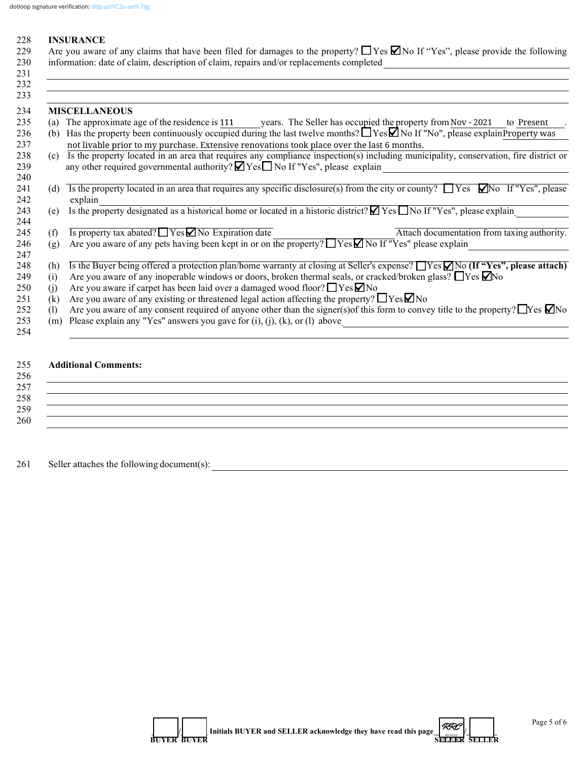### 228 **INSURANCE**

229 Are you aware of any claims that have been filed for damages to the property?  $\Box$  Yes  $\Box$  No If "Yes", please provide the following 230 information: date of claim, description of claim, repairs and/or replacements completed  $231$ 

|     | <b>MISCELLANEOUS</b>                                                                                                                             |
|-----|--------------------------------------------------------------------------------------------------------------------------------------------------|
| (a) | The approximate age of the residence is 111 years. The Seller has occupied the property from Nov - 2021<br>to Present                            |
| (b) | Has the property been continuously occupied during the last twelve months? $\Box$ Yes $\Box$ No If "No", please explainProperty was              |
|     | not livable prior to my purchase. Extensive renovations took place over the last 6 months.                                                       |
| (c) | Is the property located in an area that requires any compliance inspection(s) including municipality, conservation, fire district or             |
|     | any other required governmental authority? $\blacksquare$ Yes $\blacksquare$ No If "Yes", please explain                                         |
|     |                                                                                                                                                  |
| (d) | Is the property located in an area that requires any specific disclosure(s) from the city or county? $\Box$ Yes $\Box$ No If "Yes", please       |
|     | explain                                                                                                                                          |
| (e) | Is the property designated as a historical home or located in a historic district? $\blacksquare$ Yes $\blacksquare$ No If "Yes", please explain |
|     |                                                                                                                                                  |
| (f) | Is property tax abated? $\Box$ Yes $\Box$ No Expiration date<br>Attach documentation from taxing authority.                                      |
| (g) | Are you aware of any pets having been kept in or on the property? TYes No If "Yes" please explain                                                |
|     |                                                                                                                                                  |
| (h) | Is the Buyer being offered a protection plan/home warranty at closing at Seller's expense? $\Box$ Yes $\Box$ No (If "Yes", please attach)        |
| (i) | Are you aware of any inoperable windows or doors, broken thermal seals, or cracked/broken glass? $\Box$ Yes $\Box$ No                            |
| (1) | Are you aware if carpet has been laid over a damaged wood floor? $\Box$ Yes $\Box$ No                                                            |
| (k) | Are you aware of any existing or threatened legal action affecting the property? $\Box$ Yes $\Box$ No                                            |
| (1) | Are you aware of any consent required of anyone other than the signer(s) of this form to convey title to the property? $\Box$ Yes $\Box$ No      |
| (m) | Please explain any "Yes" answers you gave for $(i)$ , $(j)$ , $(k)$ , or $(l)$ above                                                             |
|     |                                                                                                                                                  |

# 255 **Additional Comments:**

| 256 |  |  |  |
|-----|--|--|--|
| 257 |  |  |  |
| 258 |  |  |  |
| 259 |  |  |  |
| 260 |  |  |  |

261 Seller attaches the following document(s):